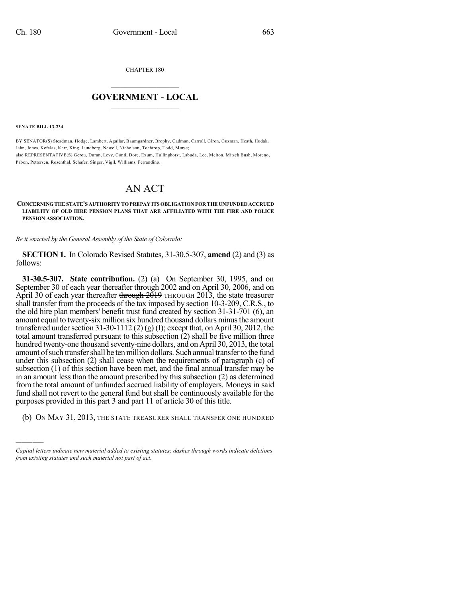CHAPTER 180

## $\mathcal{L}_\text{max}$  . The set of the set of the set of the set of the set of the set of the set of the set of the set of the set of the set of the set of the set of the set of the set of the set of the set of the set of the set **GOVERNMENT - LOCAL**  $\_$

**SENATE BILL 13-234**

)))))

BY SENATOR(S) Steadman, Hodge, Lambert, Aguilar, Baumgardner, Brophy, Cadman, Carroll, Giron, Guzman, Heath, Hudak, Jahn, Jones, Kefalas, Kerr, King, Lundberg, Newell, Nicholson, Tochtrop, Todd, Morse; also REPRESENTATIVE(S) Gerou, Duran, Levy, Conti, Dore, Exum, Hullinghorst, Labuda, Lee, Melton, Mitsch Bush, Moreno, Pabon, Pettersen, Rosenthal, Schafer, Singer, Vigil, Williams, Ferrandino.

## AN ACT

## **CONCERNINGTHE STATE'S AUTHORITY TOPREPAY ITS OBLIGATION FOR THE UNFUNDEDACCRUED LIABILITY OF OLD HIRE PENSION PLANS THAT ARE AFFILIATED WITH THE FIRE AND POLICE PENSION ASSOCIATION.**

*Be it enacted by the General Assembly of the State of Colorado:*

**SECTION 1.** In Colorado Revised Statutes, 31-30.5-307, **amend** (2) and (3) as follows:

**31-30.5-307. State contribution.** (2) (a) On September 30, 1995, and on September 30 of each year thereafter through 2002 and on April 30, 2006, and on April 30 of each year thereafter through  $2019$  THROUGH 2013, the state treasurer shall transfer from the proceeds of the tax imposed by section 10-3-209, C.R.S., to the old hire plan members' benefit trust fund created by section 31-31-701 (6), an amount equal to twenty-six million six hundred thousand dollars minusthe amount transferred under section 31-30-1112 (2) (g) (I); except that, on April 30, 2012, the total amount transferred pursuant to this subsection (2) shall be five million three hundred twenty-one thousand seventy-nine dollars, and on April 30, 2013, the total amount of such transfer shall be ten million dollars. Such annual transfer to the fund under this subsection (2) shall cease when the requirements of paragraph (c) of subsection (1) of this section have been met, and the final annual transfer may be in an amount less than the amount prescribed by this subsection (2) as determined from the total amount of unfunded accrued liability of employers. Moneys in said fund shall not revert to the general fund but shall be continuously available for the purposes provided in this part 3 and part 11 of article 30 of this title.

(b) ON MAY 31, 2013, THE STATE TREASURER SHALL TRANSFER ONE HUNDRED

*Capital letters indicate new material added to existing statutes; dashes through words indicate deletions from existing statutes and such material not part of act.*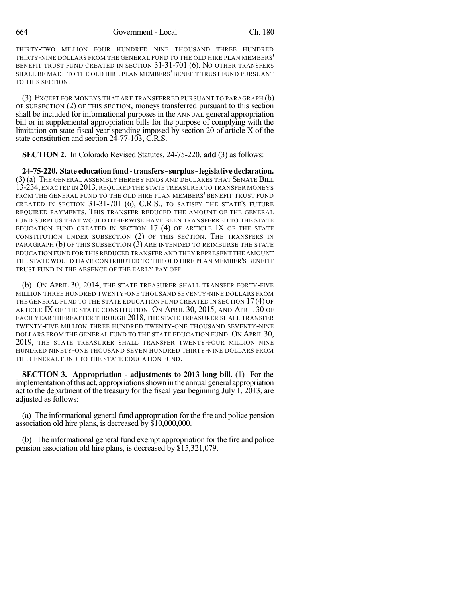664 Government - Local Ch. 180

THIRTY-TWO MILLION FOUR HUNDRED NINE THOUSAND THREE HUNDRED THIRTY-NINE DOLLARS FROM THE GENERAL FUND TO THE OLD HIRE PLAN MEMBERS' BENEFIT TRUST FUND CREATED IN SECTION 31-31-701 (6). NO OTHER TRANSFERS SHALL BE MADE TO THE OLD HIRE PLAN MEMBERS' BENEFIT TRUST FUND PURSUANT TO THIS SECTION.

(3) EXCEPT FOR MONEYS THAT ARE TRANSFERRED PURSUANT TO PARAGRAPH (b) OF SUBSECTION (2) OF THIS SECTION, moneys transferred pursuant to this section shall be included for informational purposes in the ANNUAL general appropriation bill or in supplemental appropriation bills for the purpose of complying with the limitation on state fiscal year spending imposed by section 20 of article X of the state constitution and section 24-77-103, C.R.S.

**SECTION 2.** In Colorado Revised Statutes, 24-75-220, **add** (3) as follows:

**24-75-220. State educationfund-transfers-surplus-legislativedeclaration.** (3) (a) THE GENERAL ASSEMBLY HEREBY FINDS AND DECLARES THAT SENATE BILL 13-234, ENACTED IN 2013, REQUIRED THE STATE TREASURER TO TRANSFER MONEYS FROM THE GENERAL FUND TO THE OLD HIRE PLAN MEMBERS' BENEFIT TRUST FUND CREATED IN SECTION 31-31-701 (6), C.R.S., TO SATISFY THE STATE'S FUTURE REQUIRED PAYMENTS. THIS TRANSFER REDUCED THE AMOUNT OF THE GENERAL FUND SURPLUS THAT WOULD OTHERWISE HAVE BEEN TRANSFERRED TO THE STATE EDUCATION FUND CREATED IN SECTION  $17$  (4) OF ARTICLE IX OF THE STATE CONSTITUTION UNDER SUBSECTION (2) OF THIS SECTION. THE TRANSFERS IN PARAGRAPH (b) OF THIS SUBSECTION (3) ARE INTENDED TO REIMBURSE THE STATE EDUCATION FUND FOR THIS REDUCED TRANSFER AND THEY REPRESENT THE AMOUNT THE STATE WOULD HAVE CONTRIBUTED TO THE OLD HIRE PLAN MEMBER'S BENEFIT TRUST FUND IN THE ABSENCE OF THE EARLY PAY OFF.

(b) ON APRIL 30, 2014, THE STATE TREASURER SHALL TRANSFER FORTY-FIVE MILLION THREE HUNDRED TWENTY-ONE THOUSAND SEVENTY-NINE DOLLARS FROM THE GENERAL FUND TO THE STATE EDUCATION FUND CREATED IN SECTION 17(4) OF ARTICLE IX OF THE STATE CONSTITUTION. ON APRIL 30, 2015, AND APRIL 30 OF EACH YEAR THEREAFTER THROUGH 2018, THE STATE TREASURER SHALL TRANSFER TWENTY-FIVE MILLION THREE HUNDRED TWENTY-ONE THOUSAND SEVENTY-NINE DOLLARS FROM THE GENERAL FUND TO THE STATE EDUCATION FUND. ON APRIL 30, 2019, THE STATE TREASURER SHALL TRANSFER TWENTY-FOUR MILLION NINE HUNDRED NINETY-ONE THOUSAND SEVEN HUNDRED THIRTY-NINE DOLLARS FROM THE GENERAL FUND TO THE STATE EDUCATION FUND.

**SECTION 3. Appropriation - adjustments to 2013 long bill.** (1) For the implementation of this act, appropriations shown in the annual general appropriation act to the department of the treasury for the fiscal year beginning July  $\hat{1}$ ,  $\hat{2013}$ , are adjusted as follows:

(a) The informational general fund appropriation for the fire and police pension association old hire plans, is decreased by \$10,000,000.

(b) The informational general fund exempt appropriation for the fire and police pension association old hire plans, is decreased by \$15,321,079.